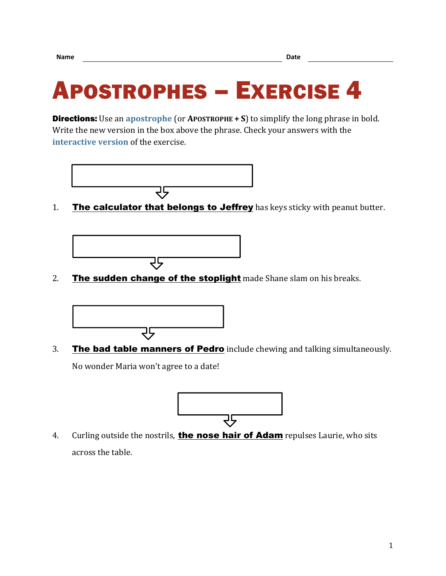## APOSTROPHES – EXERCISE 4

**Directions:** Use an **[apostrophe](https://chompchomp.com/terms/apostrophe.htm)** (or **APOSTROPHE**  $+ S$ ) to simplify the long phrase in bold. Write the new version in the box above the phrase. Check your answers with the **[interactive version](https://chompchomp.com/hotpotatoes/apostrophes04.htm)** of the exercise.



1. The calculator that belongs to Jeffrey has keys sticky with peanut butter.



2. The sudden change of the stoplight made Shane slam on his breaks.



3. The bad table manners of Pedro include chewing and talking simultaneously. No wonder Maria won't agree to a date!



4. Curling outside the nostrils, the nose hair of Adam repulses Laurie, who sits across the table.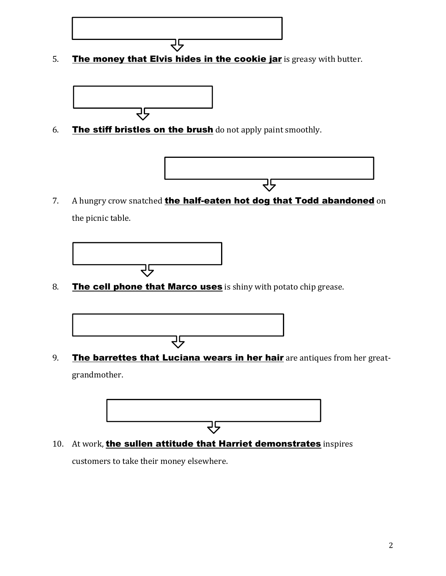

5. The money that Elvis hides in the cookie jar is greasy with butter.



6. The stiff bristles on the brush do not apply paint smoothly.



7. A hungry crow snatched the half-eaten hot dog that Todd abandoned on the picnic table.



8. The cell phone that Marco uses is shiny with potato chip grease.



9. The barrettes that Luciana wears in her hair are antiques from her greatgrandmother.



10. At work, the sullen attitude that Harriet demonstrates inspires customers to take their money elsewhere.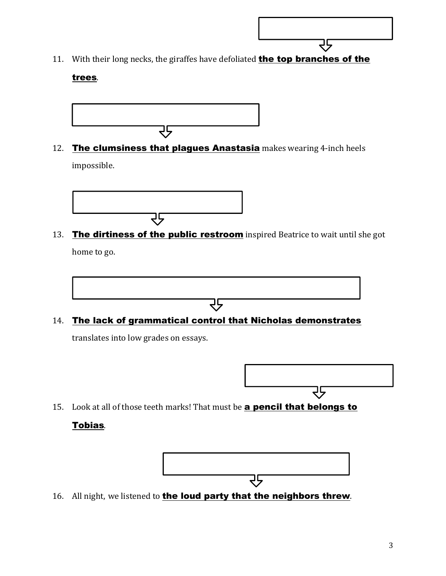

11. With their long necks, the giraffes have defoliated **the top branches of the** 

## trees.



12. The clumsiness that plagues Anastasia makes wearing 4-inch heels impossible.



13. The dirtiness of the public restroom inspired Beatrice to wait until she got home to go.



२५

translates into low grades on essays.



15. Look at all of those teeth marks! That must be **a pencil that belongs to** 

## Tobias.



16. All night, we listened to the loud party that the neighbors threw.